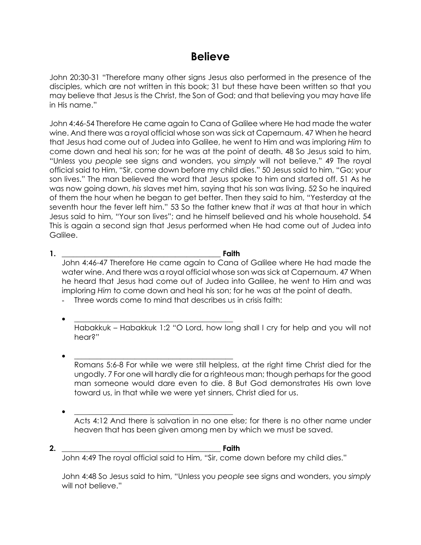## **Believe**

John 20:30-31 "Therefore many other signs Jesus also performed in the presence of the disciples, which are not written in this book; 31 but these have been written so that you may believe that Jesus is the Christ, the Son of God; and that believing you may have life in His name."

John 4:46-54 Therefore He came again to Cana of Galilee where He had made the water wine. And there was a royal official whose son was sick at Capernaum. 47 When he heard that Jesus had come out of Judea into Galilee, he went to Him and was imploring *Him* to come down and heal his son; for he was at the point of death. 48 So Jesus said to him, "Unless you *people* see signs and wonders, you *simply* will not believe." 49 The royal official said to Him, "Sir, come down before my child dies." 50 Jesus said to him, "Go; your son lives." The man believed the word that Jesus spoke to him and started off. 51 As he was now going down, *his* slaves met him, saying that his son was living. 52 So he inquired of them the hour when he began to get better. Then they said to him, "Yesterday at the seventh hour the fever left him." 53 So the father knew that *it was* at that hour in which Jesus said to him, "Your son lives"; and he himself believed and his whole household. 54 This is again a second sign that Jesus performed when He had come out of Judea into Galilee.

- **1. \_\_\_\_\_\_\_\_\_\_\_\_\_\_\_\_\_\_\_\_\_\_\_\_\_\_\_\_\_\_\_\_\_\_\_\_\_\_\_\_\_\_ Faith** John 4:46-47 Therefore He came again to Cana of Galilee where He had made the water wine. And there was a royal official whose son was sick at Capernaum. 47 When he heard that Jesus had come out of Judea into Galilee, he went to Him and was imploring *Him* to come down and heal his son; for he was at the point of death.
	- Three words come to mind that describes us in crisis faith:
	- **\_\_\_\_\_\_\_\_\_\_\_\_\_\_\_\_\_\_\_\_\_\_\_\_\_\_\_\_\_\_\_\_\_\_\_\_\_\_\_\_\_\_** Habakkuk – Habakkuk 1:2 "O Lord, how long shall I cry for help and you will not hear?"
	- **\_\_\_\_\_\_\_\_\_\_\_\_\_\_\_\_\_\_\_\_\_\_\_\_\_\_\_\_\_\_\_\_\_\_\_\_\_\_\_\_\_\_** Romans 5:6-8 For while we were still helpless, at the right time Christ died for the ungodly. 7 For one will hardly die for a righteous man; though perhaps for the good man someone would dare even to die. 8 But God demonstrates His own love toward us, in that while we were yet sinners, Christ died for us.
	- **\_\_\_\_\_\_\_\_\_\_\_\_\_\_\_\_\_\_\_\_\_\_\_\_\_\_\_\_\_\_\_\_\_\_\_\_\_\_\_\_\_\_** Acts 4:12 And there is salvation in no one else; for there is no other name under heaven that has been given among men by which we must be saved.
- **2. \_\_\_\_\_\_\_\_\_\_\_\_\_\_\_\_\_\_\_\_\_\_\_\_\_\_\_\_\_\_\_\_\_\_\_\_\_\_\_\_\_\_ Faith** John 4:49 The royal official said to Him, "Sir, come down before my child dies."

John 4:48 So Jesus said to him, "Unless you *people* see signs and wonders, you *simply* will not believe."